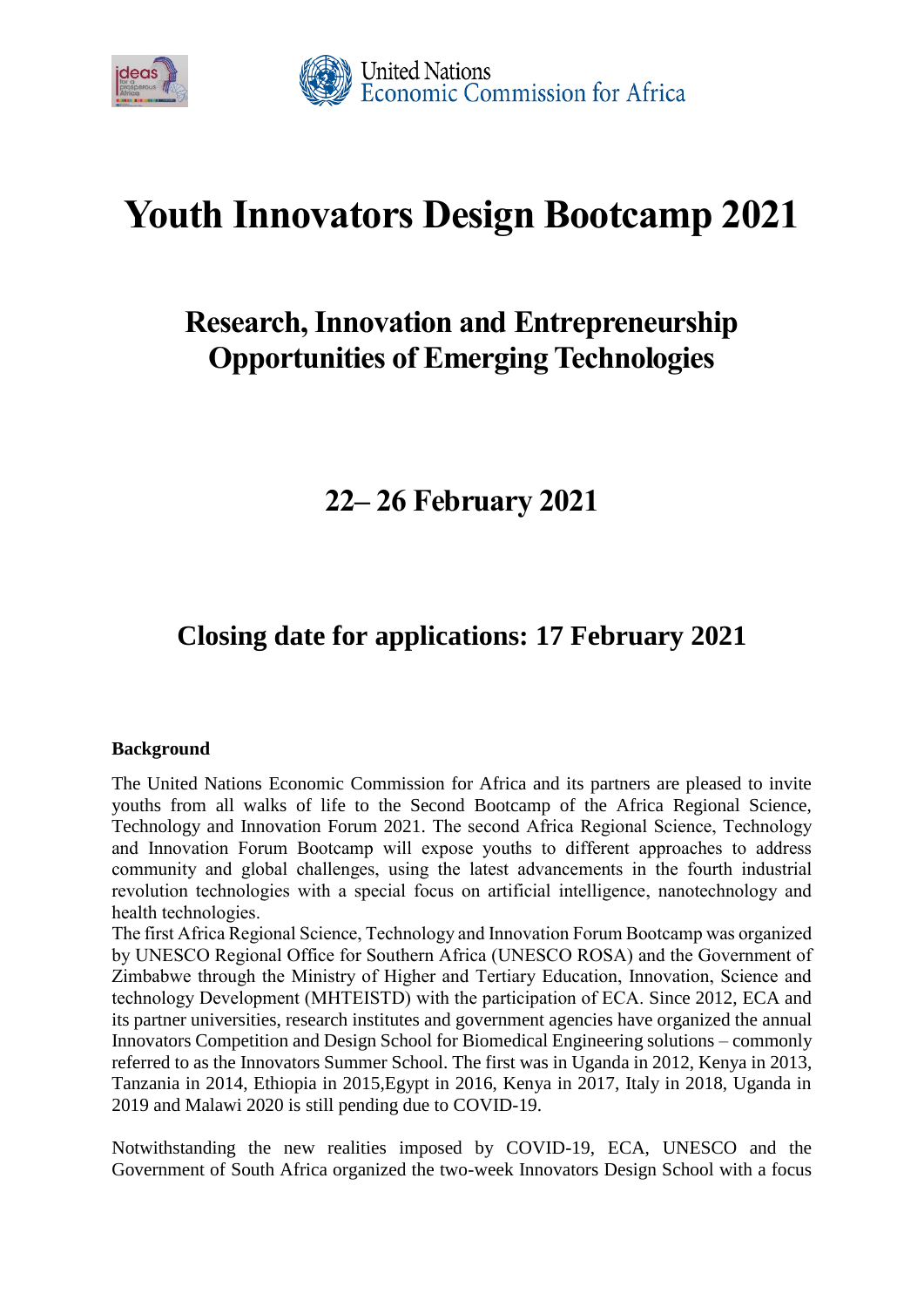

# **Youth Innovators Design Bootcamp 2021**

## **Research, Innovation and Entrepreneurship Opportunities of Emerging Technologies**

## **22– 26 February 2021**

## **Closing date for applications: 17 February 2021**

### **Background**

The United Nations Economic Commission for Africa and its partners are pleased to invite youths from all walks of life to the Second Bootcamp of the Africa Regional Science, Technology and Innovation Forum 2021. The second Africa Regional Science, Technology and Innovation Forum Bootcamp will expose youths to different approaches to address community and global challenges, using the latest advancements in the fourth industrial revolution technologies with a special focus on artificial intelligence, nanotechnology and health technologies.

The first Africa Regional Science, Technology and Innovation Forum Bootcamp was organized by UNESCO Regional Office for Southern Africa (UNESCO ROSA) and the Government of Zimbabwe through the Ministry of Higher and Tertiary Education, Innovation, Science and technology Development (MHTEISTD) with the participation of ECA. Since 2012, ECA and its partner universities, research institutes and government agencies have organized the annual Innovators Competition and Design School for Biomedical Engineering solutions – commonly referred to as the Innovators Summer School. The first was in Uganda in 2012, Kenya in 2013, Tanzania in 2014, Ethiopia in 2015,Egypt in 2016, Kenya in 2017, Italy in 2018, Uganda in 2019 and Malawi 2020 is still pending due to COVID-19.

Notwithstanding the new realities imposed by COVID-19, ECA, UNESCO and the Government of South Africa organized the two-week Innovators Design School with a focus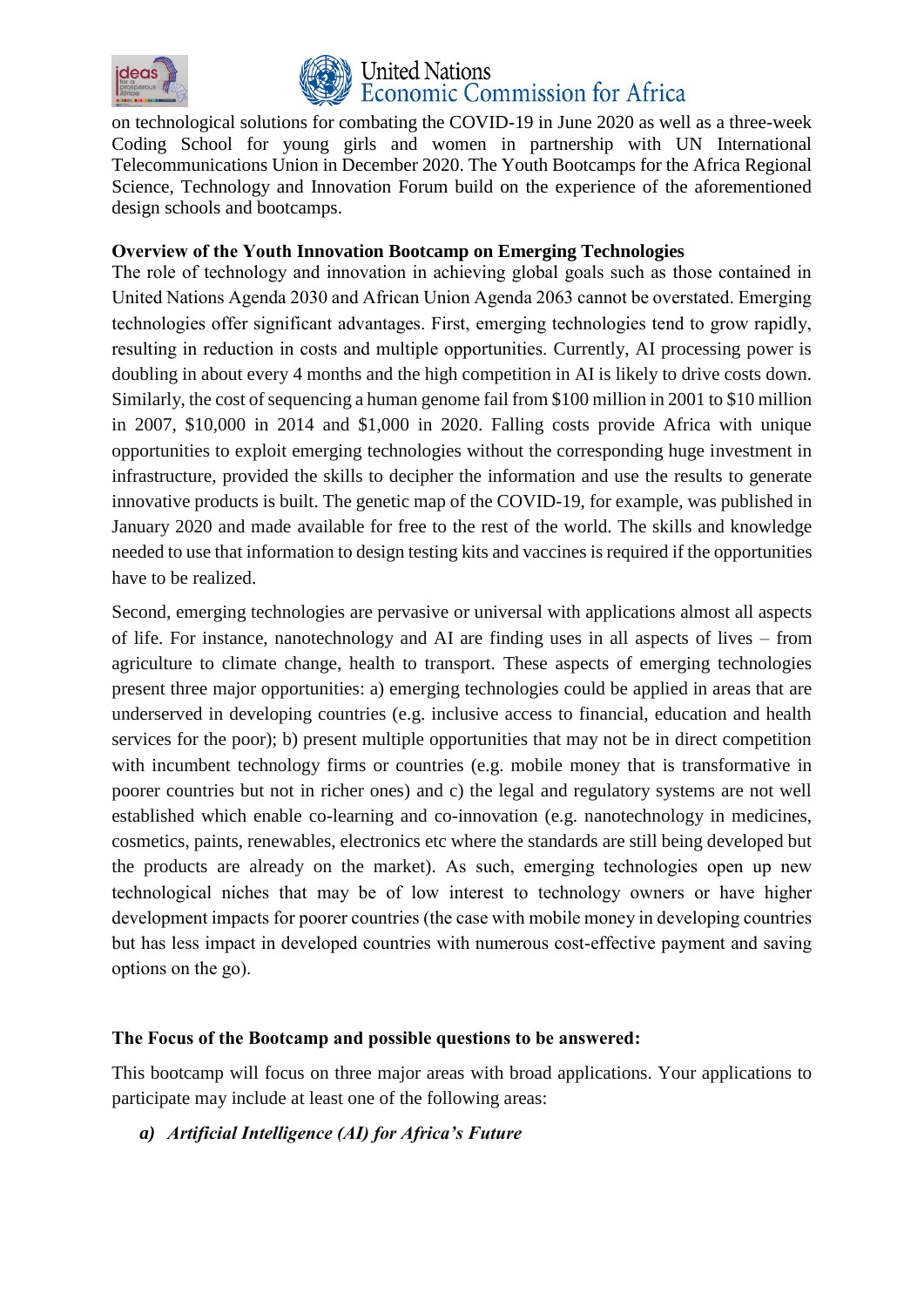



### **United Nations** conomic Commission for Africa

on technological solutions for combating the COVID-19 in June 2020 as well as a three-week Coding School for young girls and women in partnership with UN International Telecommunications Union in December 2020. The Youth Bootcamps for the Africa Regional Science, Technology and Innovation Forum build on the experience of the aforementioned design schools and bootcamps.

### **Overview of the Youth Innovation Bootcamp on Emerging Technologies**

The role of technology and innovation in achieving global goals such as those contained in United Nations Agenda 2030 and African Union Agenda 2063 cannot be overstated. Emerging technologies offer significant advantages. First, emerging technologies tend to grow rapidly, resulting in reduction in costs and multiple opportunities. Currently, AI processing power is doubling in about every 4 months and the high competition in AI is likely to drive costs down. Similarly, the cost of sequencing a human genome fail from \$100 million in 2001 to \$10 million in 2007, \$10,000 in 2014 and \$1,000 in 2020. Falling costs provide Africa with unique opportunities to exploit emerging technologies without the corresponding huge investment in infrastructure, provided the skills to decipher the information and use the results to generate innovative products is built. The genetic map of the COVID-19, for example, was published in January 2020 and made available for free to the rest of the world. The skills and knowledge needed to use that information to design testing kits and vaccines is required if the opportunities have to be realized.

Second, emerging technologies are pervasive or universal with applications almost all aspects of life. For instance, nanotechnology and AI are finding uses in all aspects of lives – from agriculture to climate change, health to transport. These aspects of emerging technologies present three major opportunities: a) emerging technologies could be applied in areas that are underserved in developing countries (e.g. inclusive access to financial, education and health services for the poor); b) present multiple opportunities that may not be in direct competition with incumbent technology firms or countries (e.g. mobile money that is transformative in poorer countries but not in richer ones) and c) the legal and regulatory systems are not well established which enable co-learning and co-innovation (e.g. nanotechnology in medicines, cosmetics, paints, renewables, electronics etc where the standards are still being developed but the products are already on the market). As such, emerging technologies open up new technological niches that may be of low interest to technology owners or have higher development impacts for poorer countries (the case with mobile money in developing countries but has less impact in developed countries with numerous cost-effective payment and saving options on the go).

### **The Focus of the Bootcamp and possible questions to be answered:**

This bootcamp will focus on three major areas with broad applications. Your applications to participate may include at least one of the following areas:

*a) Artificial Intelligence (AI) for Africa's Future*